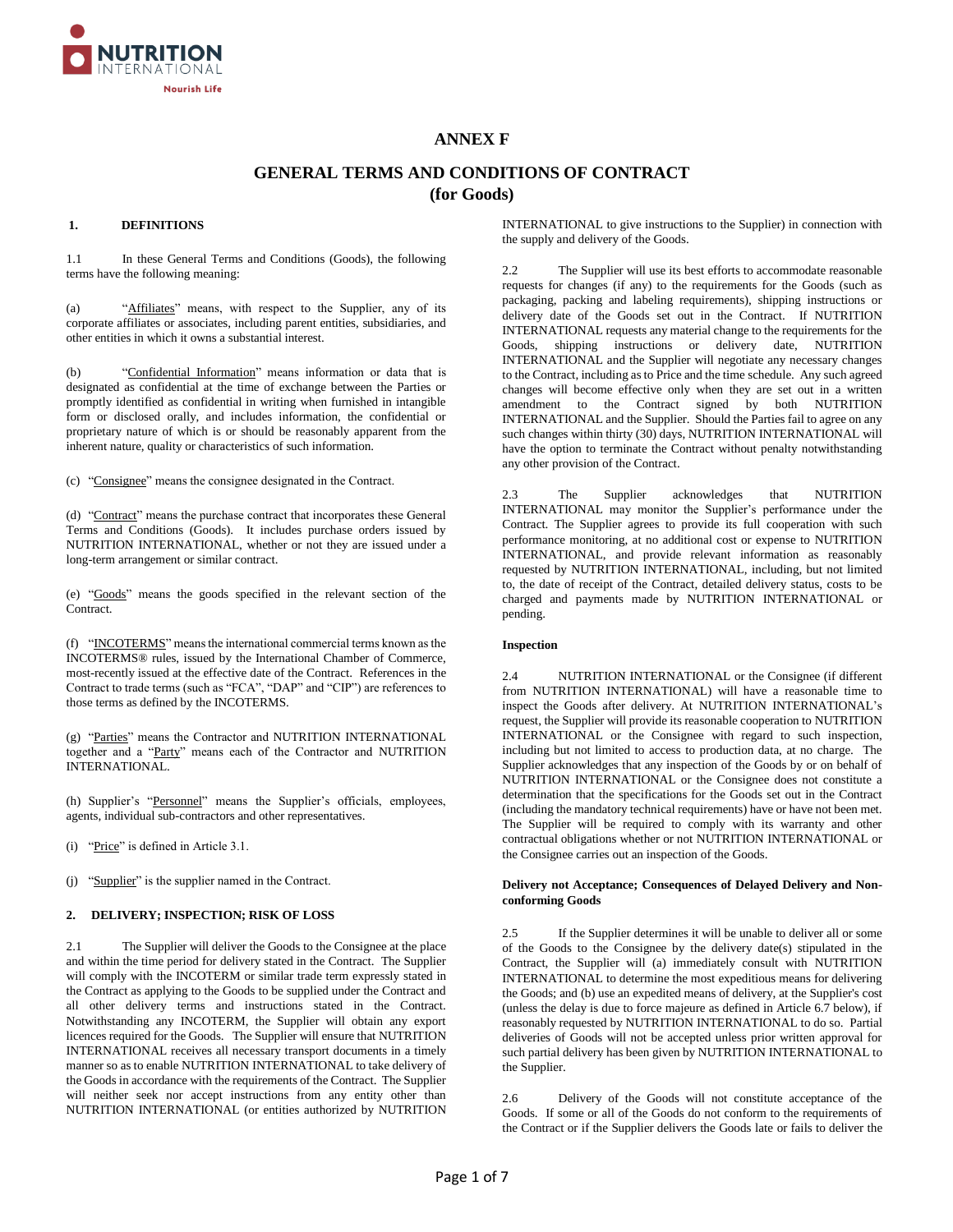

# **ANNEX F**

# **GENERAL TERMS AND CONDITIONS OF CONTRACT (for Goods)**

### **1. DEFINITIONS**

1.1 In these General Terms and Conditions (Goods), the following terms have the following meaning:

(a) "Affiliates" means, with respect to the Supplier, any of its corporate affiliates or associates, including parent entities, subsidiaries, and other entities in which it owns a substantial interest.

(b) "Confidential Information" means information or data that is designated as confidential at the time of exchange between the Parties or promptly identified as confidential in writing when furnished in intangible form or disclosed orally, and includes information, the confidential or proprietary nature of which is or should be reasonably apparent from the inherent nature, quality or characteristics of such information.

(c) "Consignee" means the consignee designated in the Contract.

(d) "Contract" means the purchase contract that incorporates these General Terms and Conditions (Goods). It includes purchase orders issued by NUTRITION INTERNATIONAL, whether or not they are issued under a long-term arrangement or similar contract.

(e) "Goods" means the goods specified in the relevant section of the Contract.

(f) "INCOTERMS" means the international commercial terms known as the INCOTERMS® rules, issued by the International Chamber of Commerce, most-recently issued at the effective date of the Contract. References in the Contract to trade terms (such as "FCA", "DAP" and "CIP") are references to those terms as defined by the INCOTERMS.

(g) "Parties" means the Contractor and NUTRITION INTERNATIONAL together and a "Party" means each of the Contractor and NUTRITION INTERNATIONAL.

(h) Supplier's "Personnel" means the Supplier's officials, employees, agents, individual sub-contractors and other representatives.

(i) "Price" is defined in Article 3.1.

(j) "Supplier" is the supplier named in the Contract.

## **2. DELIVERY; INSPECTION; RISK OF LOSS**

2.1 The Supplier will deliver the Goods to the Consignee at the place and within the time period for delivery stated in the Contract. The Supplier will comply with the INCOTERM or similar trade term expressly stated in the Contract as applying to the Goods to be supplied under the Contract and all other delivery terms and instructions stated in the Contract. Notwithstanding any INCOTERM, the Supplier will obtain any export licences required for the Goods. The Supplier will ensure that NUTRITION INTERNATIONAL receives all necessary transport documents in a timely manner so as to enable NUTRITION INTERNATIONAL to take delivery of the Goods in accordance with the requirements of the Contract. The Supplier will neither seek nor accept instructions from any entity other than NUTRITION INTERNATIONAL (or entities authorized by NUTRITION INTERNATIONAL to give instructions to the Supplier) in connection with the supply and delivery of the Goods.

2.2 The Supplier will use its best efforts to accommodate reasonable requests for changes (if any) to the requirements for the Goods (such as packaging, packing and labeling requirements), shipping instructions or delivery date of the Goods set out in the Contract. If NUTRITION INTERNATIONAL requests any material change to the requirements for the Goods, shipping instructions or delivery date, NUTRITION INTERNATIONAL and the Supplier will negotiate any necessary changes to the Contract, including as to Price and the time schedule. Any such agreed changes will become effective only when they are set out in a written amendment to the Contract signed by both NUTRITION INTERNATIONAL and the Supplier. Should the Parties fail to agree on any such changes within thirty (30) days, NUTRITION INTERNATIONAL will have the option to terminate the Contract without penalty notwithstanding any other provision of the Contract.

2.3 The Supplier acknowledges that NUTRITION INTERNATIONAL may monitor the Supplier's performance under the Contract. The Supplier agrees to provide its full cooperation with such performance monitoring, at no additional cost or expense to NUTRITION INTERNATIONAL, and provide relevant information as reasonably requested by NUTRITION INTERNATIONAL, including, but not limited to, the date of receipt of the Contract, detailed delivery status, costs to be charged and payments made by NUTRITION INTERNATIONAL or pending.

#### **Inspection**

2.4 NUTRITION INTERNATIONAL or the Consignee (if different from NUTRITION INTERNATIONAL) will have a reasonable time to inspect the Goods after delivery. At NUTRITION INTERNATIONAL's request, the Supplier will provide its reasonable cooperation to NUTRITION INTERNATIONAL or the Consignee with regard to such inspection, including but not limited to access to production data, at no charge. The Supplier acknowledges that any inspection of the Goods by or on behalf of NUTRITION INTERNATIONAL or the Consignee does not constitute a determination that the specifications for the Goods set out in the Contract (including the mandatory technical requirements) have or have not been met. The Supplier will be required to comply with its warranty and other contractual obligations whether or not NUTRITION INTERNATIONAL or the Consignee carries out an inspection of the Goods.

### **Delivery not Acceptance; Consequences of Delayed Delivery and Nonconforming Goods**

2.5 If the Supplier determines it will be unable to deliver all or some of the Goods to the Consignee by the delivery date(s) stipulated in the Contract, the Supplier will (a) immediately consult with NUTRITION INTERNATIONAL to determine the most expeditious means for delivering the Goods; and (b) use an expedited means of delivery, at the Supplier's cost (unless the delay is due to force majeure as defined in Article 6.7 below), if reasonably requested by NUTRITION INTERNATIONAL to do so. Partial deliveries of Goods will not be accepted unless prior written approval for such partial delivery has been given by NUTRITION INTERNATIONAL to the Supplier.

2.6 Delivery of the Goods will not constitute acceptance of the Goods. If some or all of the Goods do not conform to the requirements of the Contract or if the Supplier delivers the Goods late or fails to deliver the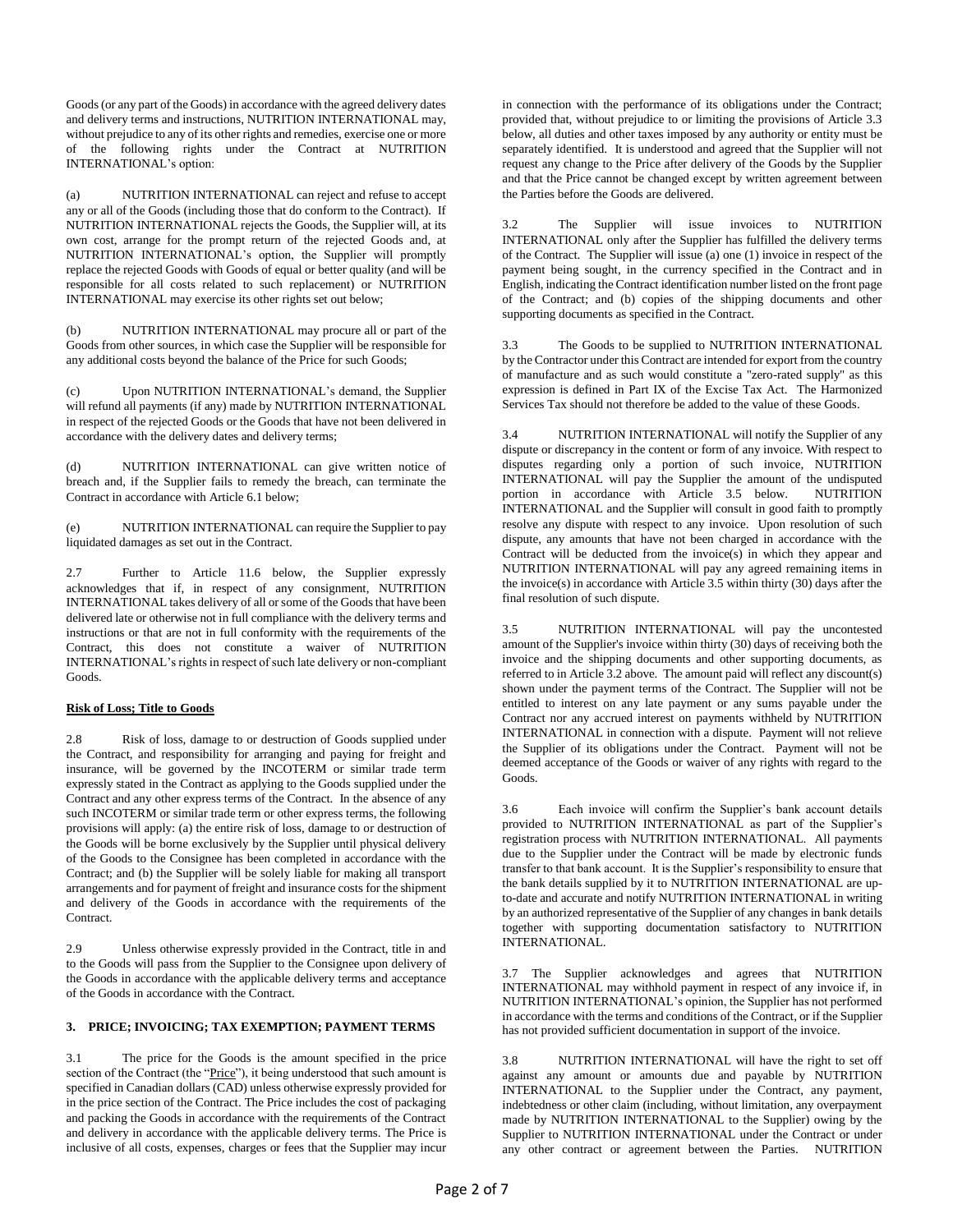Goods (or any part of the Goods) in accordance with the agreed delivery dates and delivery terms and instructions, NUTRITION INTERNATIONAL may, without prejudice to any of its other rights and remedies, exercise one or more of the following rights under the Contract at NUTRITION INTERNATIONAL's option:

(a) NUTRITION INTERNATIONAL can reject and refuse to accept any or all of the Goods (including those that do conform to the Contract). If NUTRITION INTERNATIONAL rejects the Goods, the Supplier will, at its own cost, arrange for the prompt return of the rejected Goods and, at NUTRITION INTERNATIONAL's option, the Supplier will promptly replace the rejected Goods with Goods of equal or better quality (and will be responsible for all costs related to such replacement) or NUTRITION INTERNATIONAL may exercise its other rights set out below;

(b) NUTRITION INTERNATIONAL may procure all or part of the Goods from other sources, in which case the Supplier will be responsible for any additional costs beyond the balance of the Price for such Goods;

(c) Upon NUTRITION INTERNATIONAL's demand, the Supplier will refund all payments (if any) made by NUTRITION INTERNATIONAL in respect of the rejected Goods or the Goods that have not been delivered in accordance with the delivery dates and delivery terms;

(d) NUTRITION INTERNATIONAL can give written notice of breach and, if the Supplier fails to remedy the breach, can terminate the Contract in accordance with Article 6.1 below;

(e) NUTRITION INTERNATIONAL can require the Supplier to pay liquidated damages as set out in the Contract.

2.7 Further to Article 11.6 below, the Supplier expressly acknowledges that if, in respect of any consignment, NUTRITION INTERNATIONAL takes delivery of all or some of the Goods that have been delivered late or otherwise not in full compliance with the delivery terms and instructions or that are not in full conformity with the requirements of the Contract, this does not constitute a waiver of NUTRITION INTERNATIONAL's rights in respect of such late delivery or non-compliant Goods.

# **Risk of Loss; Title to Goods**

2.8 Risk of loss, damage to or destruction of Goods supplied under the Contract, and responsibility for arranging and paying for freight and insurance, will be governed by the INCOTERM or similar trade term expressly stated in the Contract as applying to the Goods supplied under the Contract and any other express terms of the Contract. In the absence of any such INCOTERM or similar trade term or other express terms, the following provisions will apply: (a) the entire risk of loss, damage to or destruction of the Goods will be borne exclusively by the Supplier until physical delivery of the Goods to the Consignee has been completed in accordance with the Contract; and (b) the Supplier will be solely liable for making all transport arrangements and for payment of freight and insurance costs for the shipment and delivery of the Goods in accordance with the requirements of the Contract.

2.9 Unless otherwise expressly provided in the Contract, title in and to the Goods will pass from the Supplier to the Consignee upon delivery of the Goods in accordance with the applicable delivery terms and acceptance of the Goods in accordance with the Contract.

# **3. PRICE; INVOICING; TAX EXEMPTION; PAYMENT TERMS**

3.1 The price for the Goods is the amount specified in the price section of the Contract (the "Price"), it being understood that such amount is specified in Canadian dollars (CAD) unless otherwise expressly provided for in the price section of the Contract. The Price includes the cost of packaging and packing the Goods in accordance with the requirements of the Contract and delivery in accordance with the applicable delivery terms. The Price is inclusive of all costs, expenses, charges or fees that the Supplier may incur in connection with the performance of its obligations under the Contract; provided that, without prejudice to or limiting the provisions of Article 3.3 below, all duties and other taxes imposed by any authority or entity must be separately identified. It is understood and agreed that the Supplier will not request any change to the Price after delivery of the Goods by the Supplier and that the Price cannot be changed except by written agreement between the Parties before the Goods are delivered.

3.2 The Supplier will issue invoices to NUTRITION INTERNATIONAL only after the Supplier has fulfilled the delivery terms of the Contract. The Supplier will issue (a) one (1) invoice in respect of the payment being sought, in the currency specified in the Contract and in English, indicating the Contract identification number listed on the front page of the Contract; and (b) copies of the shipping documents and other supporting documents as specified in the Contract.

3.3 The Goods to be supplied to NUTRITION INTERNATIONAL by the Contractor under this Contract are intended for export from the country of manufacture and as such would constitute a "zero-rated supply" as this expression is defined in Part IX of the Excise Tax Act. The Harmonized Services Tax should not therefore be added to the value of these Goods.

3.4 NUTRITION INTERNATIONAL will notify the Supplier of any dispute or discrepancy in the content or form of any invoice. With respect to disputes regarding only a portion of such invoice, NUTRITION INTERNATIONAL will pay the Supplier the amount of the undisputed portion in accordance with Article 3.5 below. NUTRITION INTERNATIONAL and the Supplier will consult in good faith to promptly resolve any dispute with respect to any invoice. Upon resolution of such dispute, any amounts that have not been charged in accordance with the Contract will be deducted from the invoice(s) in which they appear and NUTRITION INTERNATIONAL will pay any agreed remaining items in the invoice(s) in accordance with Article 3.5 within thirty (30) days after the final resolution of such dispute.

3.5 NUTRITION INTERNATIONAL will pay the uncontested amount of the Supplier's invoice within thirty (30) days of receiving both the invoice and the shipping documents and other supporting documents, as referred to in Article 3.2 above. The amount paid will reflect any discount(s) shown under the payment terms of the Contract. The Supplier will not be entitled to interest on any late payment or any sums payable under the Contract nor any accrued interest on payments withheld by NUTRITION INTERNATIONAL in connection with a dispute. Payment will not relieve the Supplier of its obligations under the Contract. Payment will not be deemed acceptance of the Goods or waiver of any rights with regard to the Goods.

3.6 Each invoice will confirm the Supplier's bank account details provided to NUTRITION INTERNATIONAL as part of the Supplier's registration process with NUTRITION INTERNATIONAL. All payments due to the Supplier under the Contract will be made by electronic funds transfer to that bank account. It is the Supplier's responsibility to ensure that the bank details supplied by it to NUTRITION INTERNATIONAL are upto-date and accurate and notify NUTRITION INTERNATIONAL in writing by an authorized representative of the Supplier of any changes in bank details together with supporting documentation satisfactory to NUTRITION INTERNATIONAL.

3.7 The Supplier acknowledges and agrees that NUTRITION INTERNATIONAL may withhold payment in respect of any invoice if, in NUTRITION INTERNATIONAL's opinion, the Supplier has not performed in accordance with the terms and conditions of the Contract, or if the Supplier has not provided sufficient documentation in support of the invoice.

3.8 NUTRITION INTERNATIONAL will have the right to set off against any amount or amounts due and payable by NUTRITION INTERNATIONAL to the Supplier under the Contract, any payment, indebtedness or other claim (including, without limitation, any overpayment made by NUTRITION INTERNATIONAL to the Supplier) owing by the Supplier to NUTRITION INTERNATIONAL under the Contract or under any other contract or agreement between the Parties. NUTRITION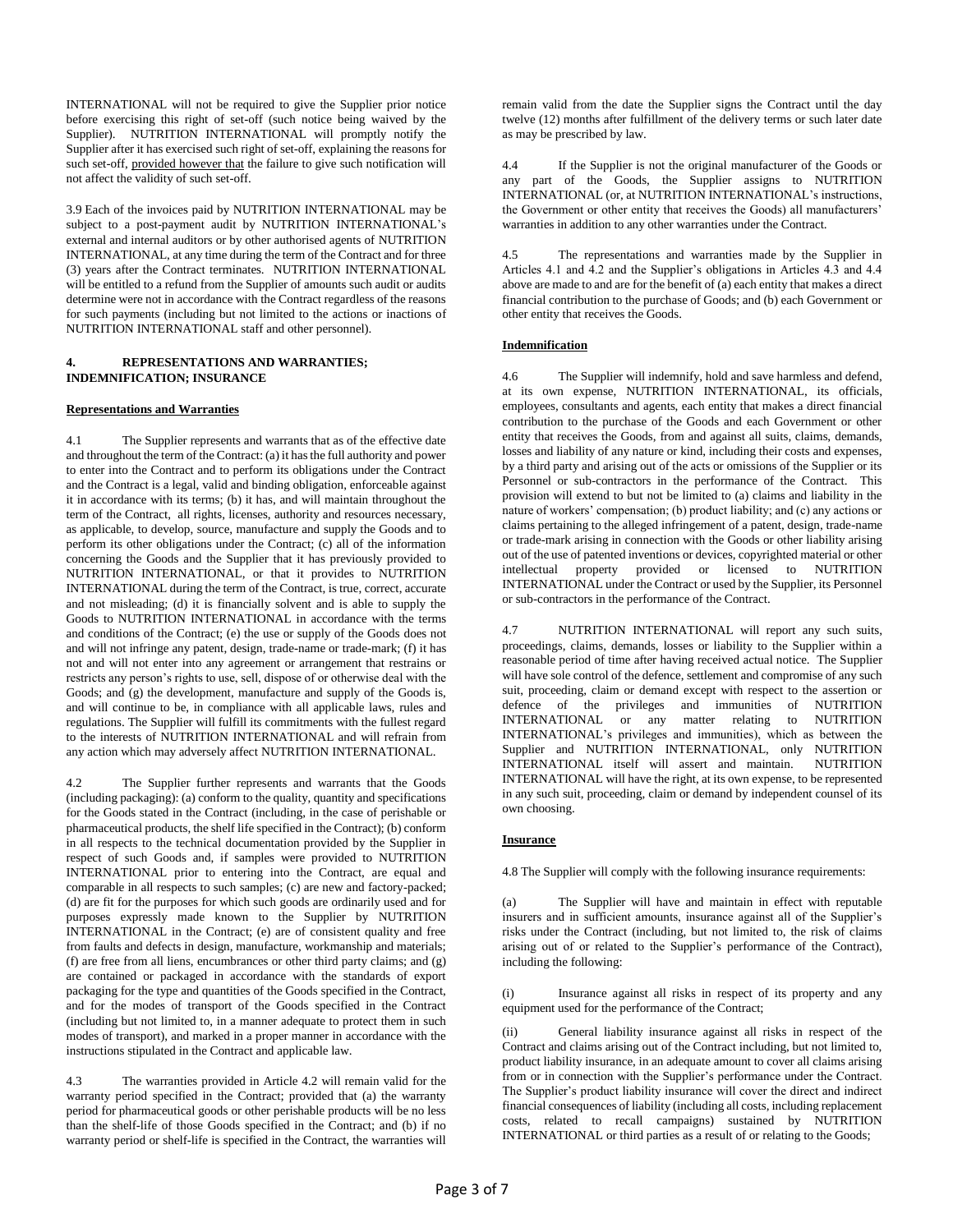INTERNATIONAL will not be required to give the Supplier prior notice before exercising this right of set-off (such notice being waived by the Supplier). NUTRITION INTERNATIONAL will promptly notify the Supplier after it has exercised such right of set-off, explaining the reasons for such set-off, provided however that the failure to give such notification will not affect the validity of such set-off.

3.9 Each of the invoices paid by NUTRITION INTERNATIONAL may be subject to a post-payment audit by NUTRITION INTERNATIONAL's external and internal auditors or by other authorised agents of NUTRITION INTERNATIONAL, at any time during the term of the Contract and for three (3) years after the Contract terminates. NUTRITION INTERNATIONAL will be entitled to a refund from the Supplier of amounts such audit or audits determine were not in accordance with the Contract regardless of the reasons for such payments (including but not limited to the actions or inactions of NUTRITION INTERNATIONAL staff and other personnel).

# **4. REPRESENTATIONS AND WARRANTIES; INDEMNIFICATION; INSURANCE**

### **Representations and Warranties**

4.1 The Supplier represents and warrants that as of the effective date and throughout the term of the Contract: (a) it has the full authority and power to enter into the Contract and to perform its obligations under the Contract and the Contract is a legal, valid and binding obligation, enforceable against it in accordance with its terms; (b) it has, and will maintain throughout the term of the Contract, all rights, licenses, authority and resources necessary, as applicable, to develop, source, manufacture and supply the Goods and to perform its other obligations under the Contract; (c) all of the information concerning the Goods and the Supplier that it has previously provided to NUTRITION INTERNATIONAL, or that it provides to NUTRITION INTERNATIONAL during the term of the Contract, is true, correct, accurate and not misleading; (d) it is financially solvent and is able to supply the Goods to NUTRITION INTERNATIONAL in accordance with the terms and conditions of the Contract; (e) the use or supply of the Goods does not and will not infringe any patent, design, trade-name or trade-mark; (f) it has not and will not enter into any agreement or arrangement that restrains or restricts any person's rights to use, sell, dispose of or otherwise deal with the Goods; and (g) the development, manufacture and supply of the Goods is, and will continue to be, in compliance with all applicable laws, rules and regulations. The Supplier will fulfill its commitments with the fullest regard to the interests of NUTRITION INTERNATIONAL and will refrain from any action which may adversely affect NUTRITION INTERNATIONAL.

4.2 The Supplier further represents and warrants that the Goods (including packaging): (a) conform to the quality, quantity and specifications for the Goods stated in the Contract (including, in the case of perishable or pharmaceutical products, the shelf life specified in the Contract); (b) conform in all respects to the technical documentation provided by the Supplier in respect of such Goods and, if samples were provided to NUTRITION INTERNATIONAL prior to entering into the Contract, are equal and comparable in all respects to such samples; (c) are new and factory-packed; (d) are fit for the purposes for which such goods are ordinarily used and for purposes expressly made known to the Supplier by NUTRITION INTERNATIONAL in the Contract; (e) are of consistent quality and free from faults and defects in design, manufacture, workmanship and materials; (f) are free from all liens, encumbrances or other third party claims; and (g) are contained or packaged in accordance with the standards of export packaging for the type and quantities of the Goods specified in the Contract, and for the modes of transport of the Goods specified in the Contract (including but not limited to, in a manner adequate to protect them in such modes of transport), and marked in a proper manner in accordance with the instructions stipulated in the Contract and applicable law.

4.3 The warranties provided in Article 4.2 will remain valid for the warranty period specified in the Contract; provided that (a) the warranty period for pharmaceutical goods or other perishable products will be no less than the shelf-life of those Goods specified in the Contract; and (b) if no warranty period or shelf-life is specified in the Contract, the warranties will remain valid from the date the Supplier signs the Contract until the day twelve (12) months after fulfillment of the delivery terms or such later date as may be prescribed by law.

4.4 If the Supplier is not the original manufacturer of the Goods or any part of the Goods, the Supplier assigns to NUTRITION INTERNATIONAL (or, at NUTRITION INTERNATIONAL's instructions, the Government or other entity that receives the Goods) all manufacturers' warranties in addition to any other warranties under the Contract.

4.5 The representations and warranties made by the Supplier in Articles 4.1 and 4.2 and the Supplier's obligations in Articles 4.3 and 4.4 above are made to and are for the benefit of (a) each entity that makes a direct financial contribution to the purchase of Goods; and (b) each Government or other entity that receives the Goods.

### **Indemnification**

4.6 The Supplier will indemnify, hold and save harmless and defend, at its own expense, NUTRITION INTERNATIONAL, its officials, employees, consultants and agents, each entity that makes a direct financial contribution to the purchase of the Goods and each Government or other entity that receives the Goods, from and against all suits, claims, demands, losses and liability of any nature or kind, including their costs and expenses, by a third party and arising out of the acts or omissions of the Supplier or its Personnel or sub-contractors in the performance of the Contract. This provision will extend to but not be limited to (a) claims and liability in the nature of workers' compensation; (b) product liability; and (c) any actions or claims pertaining to the alleged infringement of a patent, design, trade-name or trade-mark arising in connection with the Goods or other liability arising out of the use of patented inventions or devices, copyrighted material or other intellectual property provided or licensed to NUTRITION INTERNATIONAL under the Contract or used by the Supplier, its Personnel or sub-contractors in the performance of the Contract.

4.7 NUTRITION INTERNATIONAL will report any such suits, proceedings, claims, demands, losses or liability to the Supplier within a reasonable period of time after having received actual notice. The Supplier will have sole control of the defence, settlement and compromise of any such suit, proceeding, claim or demand except with respect to the assertion or defence of the privileges and immunities of NUTRITION INTERNATIONAL or any matter relating to NUTRITION INTERNATIONAL's privileges and immunities), which as between the Supplier and NUTRITION INTERNATIONAL, only NUTRITION INTERNATIONAL itself will assert and maintain. NUTRITION INTERNATIONAL will have the right, at its own expense, to be represented in any such suit, proceeding, claim or demand by independent counsel of its own choosing.

#### **Insurance**

4.8 The Supplier will comply with the following insurance requirements:

The Supplier will have and maintain in effect with reputable insurers and in sufficient amounts, insurance against all of the Supplier's risks under the Contract (including, but not limited to, the risk of claims arising out of or related to the Supplier's performance of the Contract), including the following:

(i) Insurance against all risks in respect of its property and any equipment used for the performance of the Contract;

(ii) General liability insurance against all risks in respect of the Contract and claims arising out of the Contract including, but not limited to, product liability insurance, in an adequate amount to cover all claims arising from or in connection with the Supplier's performance under the Contract. The Supplier's product liability insurance will cover the direct and indirect financial consequences of liability (including all costs, including replacement costs, related to recall campaigns) sustained by NUTRITION INTERNATIONAL or third parties as a result of or relating to the Goods;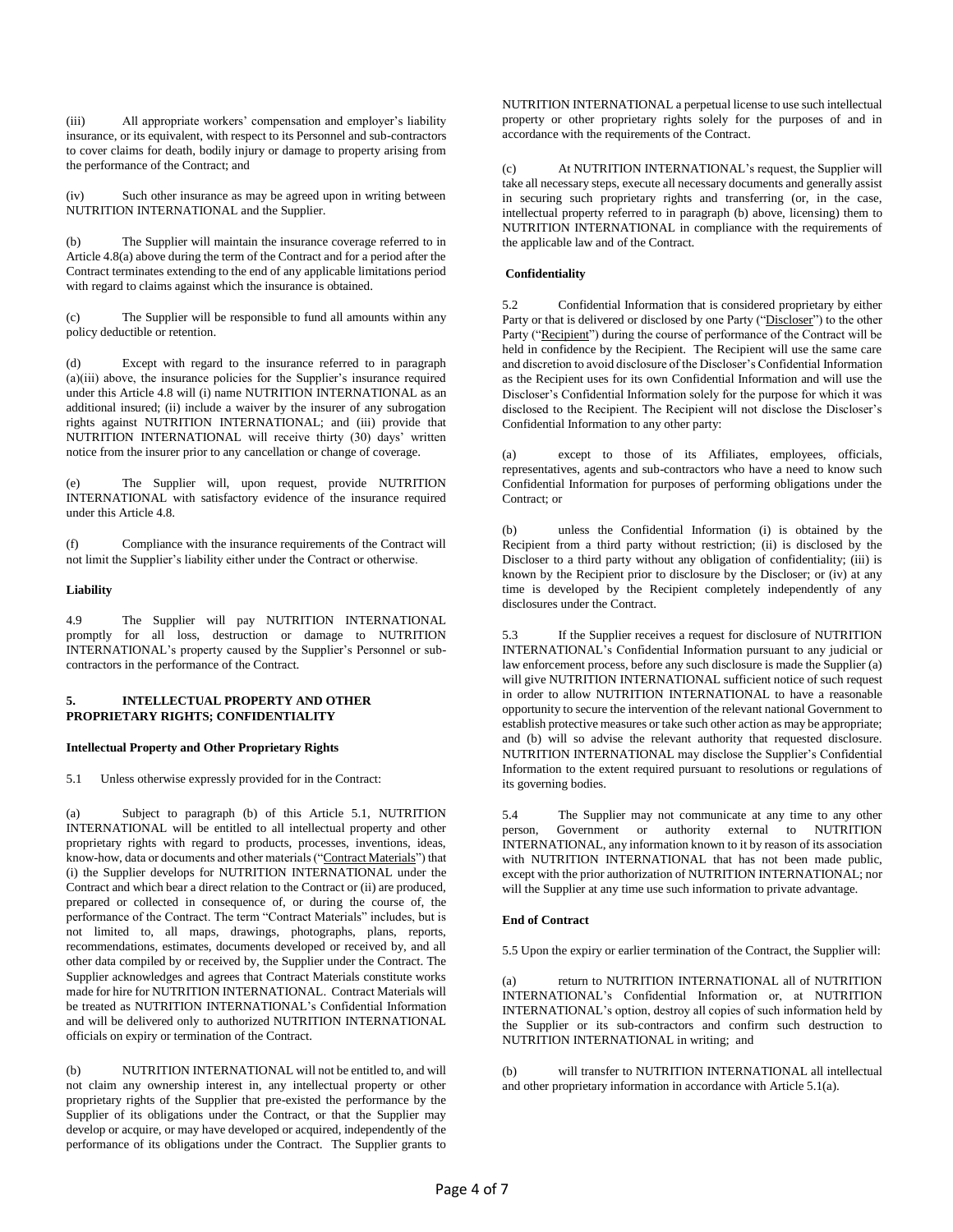(iii) All appropriate workers' compensation and employer's liability insurance, or its equivalent, with respect to its Personnel and sub-contractors to cover claims for death, bodily injury or damage to property arising from the performance of the Contract; and

(iv) Such other insurance as may be agreed upon in writing between NUTRITION INTERNATIONAL and the Supplier.

(b) The Supplier will maintain the insurance coverage referred to in Article 4.8(a) above during the term of the Contract and for a period after the Contract terminates extending to the end of any applicable limitations period with regard to claims against which the insurance is obtained.

(c) The Supplier will be responsible to fund all amounts within any policy deductible or retention.

(d) Except with regard to the insurance referred to in paragraph (a)(iii) above, the insurance policies for the Supplier's insurance required under this Article 4.8 will (i) name NUTRITION INTERNATIONAL as an additional insured; (ii) include a waiver by the insurer of any subrogation rights against NUTRITION INTERNATIONAL; and (iii) provide that NUTRITION INTERNATIONAL will receive thirty (30) days' written notice from the insurer prior to any cancellation or change of coverage.

(e) The Supplier will, upon request, provide NUTRITION INTERNATIONAL with satisfactory evidence of the insurance required under this Article 4.8.

(f) Compliance with the insurance requirements of the Contract will not limit the Supplier's liability either under the Contract or otherwise.

### **Liability**

4.9 The Supplier will pay NUTRITION INTERNATIONAL promptly for all loss, destruction or damage to NUTRITION INTERNATIONAL's property caused by the Supplier's Personnel or subcontractors in the performance of the Contract.

### **5. INTELLECTUAL PROPERTY AND OTHER PROPRIETARY RIGHTS; CONFIDENTIALITY**

#### **Intellectual Property and Other Proprietary Rights**

5.1 Unless otherwise expressly provided for in the Contract:

(a) Subject to paragraph (b) of this Article 5.1, NUTRITION INTERNATIONAL will be entitled to all intellectual property and other proprietary rights with regard to products, processes, inventions, ideas, know-how, data or documents and other materials ("Contract Materials") that (i) the Supplier develops for NUTRITION INTERNATIONAL under the Contract and which bear a direct relation to the Contract or (ii) are produced, prepared or collected in consequence of, or during the course of, the performance of the Contract. The term "Contract Materials" includes, but is not limited to, all maps, drawings, photographs, plans, reports, recommendations, estimates, documents developed or received by, and all other data compiled by or received by, the Supplier under the Contract. The Supplier acknowledges and agrees that Contract Materials constitute works made for hire for NUTRITION INTERNATIONAL. Contract Materials will be treated as NUTRITION INTERNATIONAL's Confidential Information and will be delivered only to authorized NUTRITION INTERNATIONAL officials on expiry or termination of the Contract.

(b) NUTRITION INTERNATIONAL will not be entitled to, and will not claim any ownership interest in, any intellectual property or other proprietary rights of the Supplier that pre-existed the performance by the Supplier of its obligations under the Contract, or that the Supplier may develop or acquire, or may have developed or acquired, independently of the performance of its obligations under the Contract. The Supplier grants to NUTRITION INTERNATIONAL a perpetual license to use such intellectual property or other proprietary rights solely for the purposes of and in accordance with the requirements of the Contract.

(c) At NUTRITION INTERNATIONAL's request, the Supplier will take all necessary steps, execute all necessary documents and generally assist in securing such proprietary rights and transferring (or, in the case, intellectual property referred to in paragraph (b) above, licensing) them to NUTRITION INTERNATIONAL in compliance with the requirements of the applicable law and of the Contract.

#### **Confidentiality**

5.2 Confidential Information that is considered proprietary by either Party or that is delivered or disclosed by one Party ("Discloser") to the other Party ("Recipient") during the course of performance of the Contract will be held in confidence by the Recipient. The Recipient will use the same care and discretion to avoid disclosure of the Discloser's Confidential Information as the Recipient uses for its own Confidential Information and will use the Discloser's Confidential Information solely for the purpose for which it was disclosed to the Recipient. The Recipient will not disclose the Discloser's Confidential Information to any other party:

(a) except to those of its Affiliates, employees, officials, representatives, agents and sub-contractors who have a need to know such Confidential Information for purposes of performing obligations under the Contract; or

(b) unless the Confidential Information (i) is obtained by the Recipient from a third party without restriction; (ii) is disclosed by the Discloser to a third party without any obligation of confidentiality; (iii) is known by the Recipient prior to disclosure by the Discloser; or (iv) at any time is developed by the Recipient completely independently of any disclosures under the Contract.

5.3 If the Supplier receives a request for disclosure of NUTRITION INTERNATIONAL's Confidential Information pursuant to any judicial or law enforcement process, before any such disclosure is made the Supplier (a) will give NUTRITION INTERNATIONAL sufficient notice of such request in order to allow NUTRITION INTERNATIONAL to have a reasonable opportunity to secure the intervention of the relevant national Government to establish protective measures or take such other action as may be appropriate; and (b) will so advise the relevant authority that requested disclosure. NUTRITION INTERNATIONAL may disclose the Supplier's Confidential Information to the extent required pursuant to resolutions or regulations of its governing bodies.

5.4 The Supplier may not communicate at any time to any other<br>person, Government or authority external to NUTRITION Government or authority external to NUTRITION INTERNATIONAL, any information known to it by reason of its association with NUTRITION INTERNATIONAL that has not been made public, except with the prior authorization of NUTRITION INTERNATIONAL; nor will the Supplier at any time use such information to private advantage.

#### **End of Contract**

5.5 Upon the expiry or earlier termination of the Contract, the Supplier will:

return to NUTRITION INTERNATIONAL all of NUTRITION INTERNATIONAL's Confidential Information or, at NUTRITION INTERNATIONAL's option, destroy all copies of such information held by the Supplier or its sub-contractors and confirm such destruction to NUTRITION INTERNATIONAL in writing; and

will transfer to NUTRITION INTERNATIONAL all intellectual and other proprietary information in accordance with Article 5.1(a).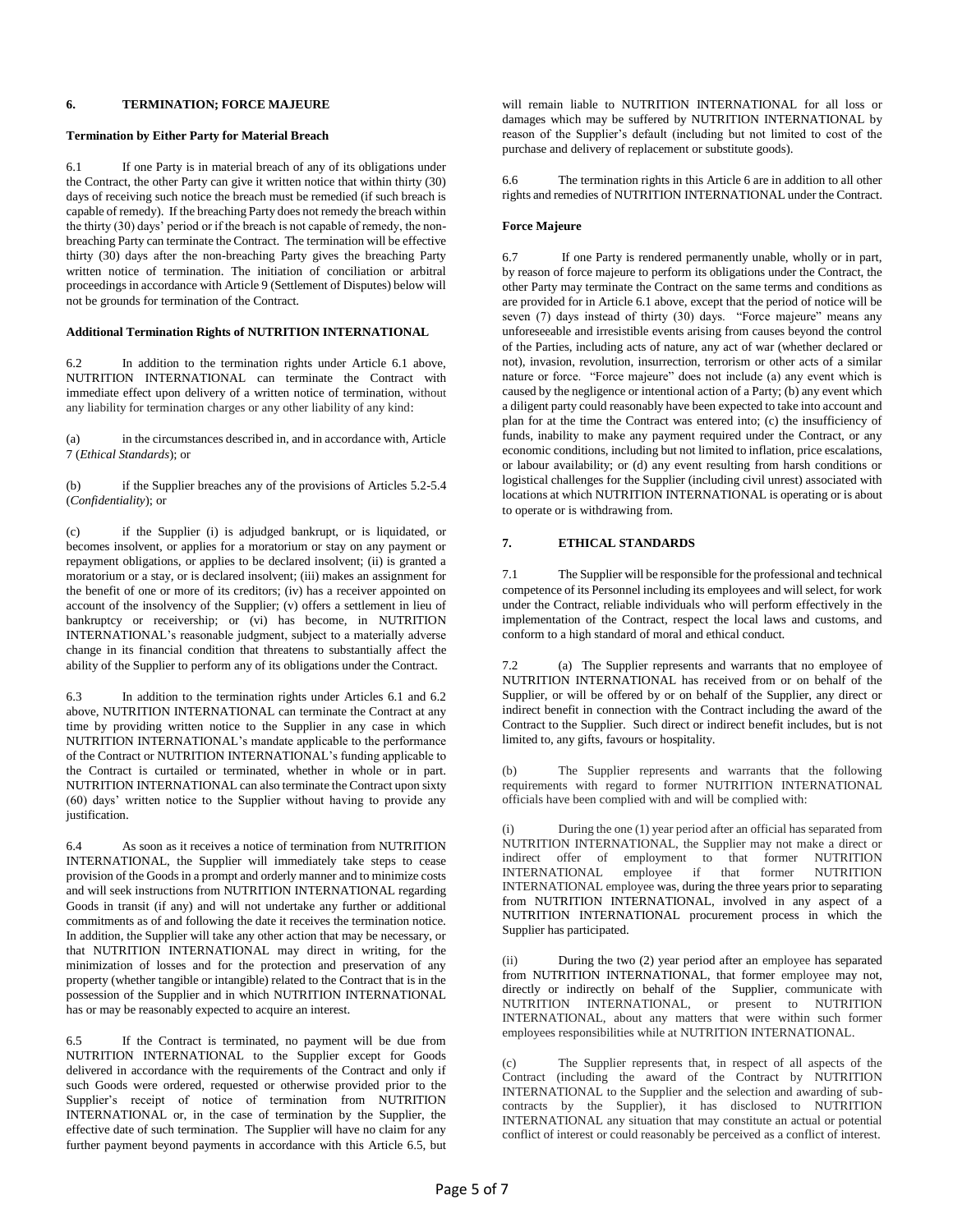# **6. TERMINATION; FORCE MAJEURE**

### **Termination by Either Party for Material Breach**

6.1 If one Party is in material breach of any of its obligations under the Contract, the other Party can give it written notice that within thirty (30) days of receiving such notice the breach must be remedied (if such breach is capable of remedy). If the breaching Party does not remedy the breach within the thirty (30) days' period or if the breach is not capable of remedy, the nonbreaching Party can terminate the Contract. The termination will be effective thirty (30) days after the non-breaching Party gives the breaching Party written notice of termination. The initiation of conciliation or arbitral proceedings in accordance with Article 9 (Settlement of Disputes) below will not be grounds for termination of the Contract.

## **Additional Termination Rights of NUTRITION INTERNATIONAL**

6.2 In addition to the termination rights under Article 6.1 above, NUTRITION INTERNATIONAL can terminate the Contract with immediate effect upon delivery of a written notice of termination, without any liability for termination charges or any other liability of any kind:

(a) in the circumstances described in, and in accordance with, Article 7 (*Ethical Standards*); or

(b) if the Supplier breaches any of the provisions of Articles 5.2-5.4 (*Confidentiality*); or

(c) if the Supplier (i) is adjudged bankrupt, or is liquidated, or becomes insolvent, or applies for a moratorium or stay on any payment or repayment obligations, or applies to be declared insolvent; (ii) is granted a moratorium or a stay, or is declared insolvent; (iii) makes an assignment for the benefit of one or more of its creditors; (iv) has a receiver appointed on account of the insolvency of the Supplier; (v) offers a settlement in lieu of bankruptcy or receivership; or (vi) has become, in NUTRITION INTERNATIONAL's reasonable judgment, subject to a materially adverse change in its financial condition that threatens to substantially affect the ability of the Supplier to perform any of its obligations under the Contract.

6.3 In addition to the termination rights under Articles 6.1 and 6.2 above, NUTRITION INTERNATIONAL can terminate the Contract at any time by providing written notice to the Supplier in any case in which NUTRITION INTERNATIONAL's mandate applicable to the performance of the Contract or NUTRITION INTERNATIONAL's funding applicable to the Contract is curtailed or terminated, whether in whole or in part. NUTRITION INTERNATIONAL can also terminate the Contract upon sixty (60) days' written notice to the Supplier without having to provide any justification.

6.4 As soon as it receives a notice of termination from NUTRITION INTERNATIONAL, the Supplier will immediately take steps to cease provision of the Goods in a prompt and orderly manner and to minimize costs and will seek instructions from NUTRITION INTERNATIONAL regarding Goods in transit (if any) and will not undertake any further or additional commitments as of and following the date it receives the termination notice. In addition, the Supplier will take any other action that may be necessary, or that NUTRITION INTERNATIONAL may direct in writing, for the minimization of losses and for the protection and preservation of any property (whether tangible or intangible) related to the Contract that is in the possession of the Supplier and in which NUTRITION INTERNATIONAL has or may be reasonably expected to acquire an interest.

6.5 If the Contract is terminated, no payment will be due from NUTRITION INTERNATIONAL to the Supplier except for Goods delivered in accordance with the requirements of the Contract and only if such Goods were ordered, requested or otherwise provided prior to the Supplier's receipt of notice of termination from NUTRITION INTERNATIONAL or, in the case of termination by the Supplier, the effective date of such termination. The Supplier will have no claim for any further payment beyond payments in accordance with this Article 6.5, but will remain liable to NUTRITION INTERNATIONAL for all loss or damages which may be suffered by NUTRITION INTERNATIONAL by reason of the Supplier's default (including but not limited to cost of the purchase and delivery of replacement or substitute goods).

6.6 The termination rights in this Article 6 are in addition to all other rights and remedies of NUTRITION INTERNATIONAL under the Contract.

### **Force Majeure**

6.7 If one Party is rendered permanently unable, wholly or in part, by reason of force majeure to perform its obligations under the Contract, the other Party may terminate the Contract on the same terms and conditions as are provided for in Article 6.1 above, except that the period of notice will be seven (7) days instead of thirty (30) days. "Force majeure" means any unforeseeable and irresistible events arising from causes beyond the control of the Parties, including acts of nature, any act of war (whether declared or not), invasion, revolution, insurrection, terrorism or other acts of a similar nature or force. "Force majeure" does not include (a) any event which is caused by the negligence or intentional action of a Party; (b) any event which a diligent party could reasonably have been expected to take into account and plan for at the time the Contract was entered into; (c) the insufficiency of funds, inability to make any payment required under the Contract, or any economic conditions, including but not limited to inflation, price escalations, or labour availability; or (d) any event resulting from harsh conditions or logistical challenges for the Supplier (including civil unrest) associated with locations at which NUTRITION INTERNATIONAL is operating or is about to operate or is withdrawing from.

### **7. ETHICAL STANDARDS**

7.1 The Supplier will be responsible for the professional and technical competence of its Personnel including its employees and will select, for work under the Contract, reliable individuals who will perform effectively in the implementation of the Contract, respect the local laws and customs, and conform to a high standard of moral and ethical conduct.

7.2 (a) The Supplier represents and warrants that no employee of NUTRITION INTERNATIONAL has received from or on behalf of the Supplier, or will be offered by or on behalf of the Supplier, any direct or indirect benefit in connection with the Contract including the award of the Contract to the Supplier. Such direct or indirect benefit includes, but is not limited to, any gifts, favours or hospitality.

(b) The Supplier represents and warrants that the following requirements with regard to former NUTRITION INTERNATIONAL officials have been complied with and will be complied with:

(i) During the one (1) year period after an official has separated from NUTRITION INTERNATIONAL, the Supplier may not make a direct or indirect offer of employment to that former NUTRITION<br>INTERNATIONAL employee if that former NUTRITION  $INTERNATIONAL$  employee if that INTERNATIONAL employee was, during the three years prior to separating from NUTRITION INTERNATIONAL, involved in any aspect of a NUTRITION INTERNATIONAL procurement process in which the Supplier has participated.

(ii) During the two (2) year period after an employee has separated from NUTRITION INTERNATIONAL, that former employee may not, directly or indirectly on behalf of the Supplier, communicate with NUTRITION INTERNATIONAL, or present to NUTRITION INTERNATIONAL, about any matters that were within such former employees responsibilities while at NUTRITION INTERNATIONAL.

(c) The Supplier represents that, in respect of all aspects of the Contract (including the award of the Contract by NUTRITION INTERNATIONAL to the Supplier and the selection and awarding of subcontracts by the Supplier), it has disclosed to NUTRITION INTERNATIONAL any situation that may constitute an actual or potential conflict of interest or could reasonably be perceived as a conflict of interest.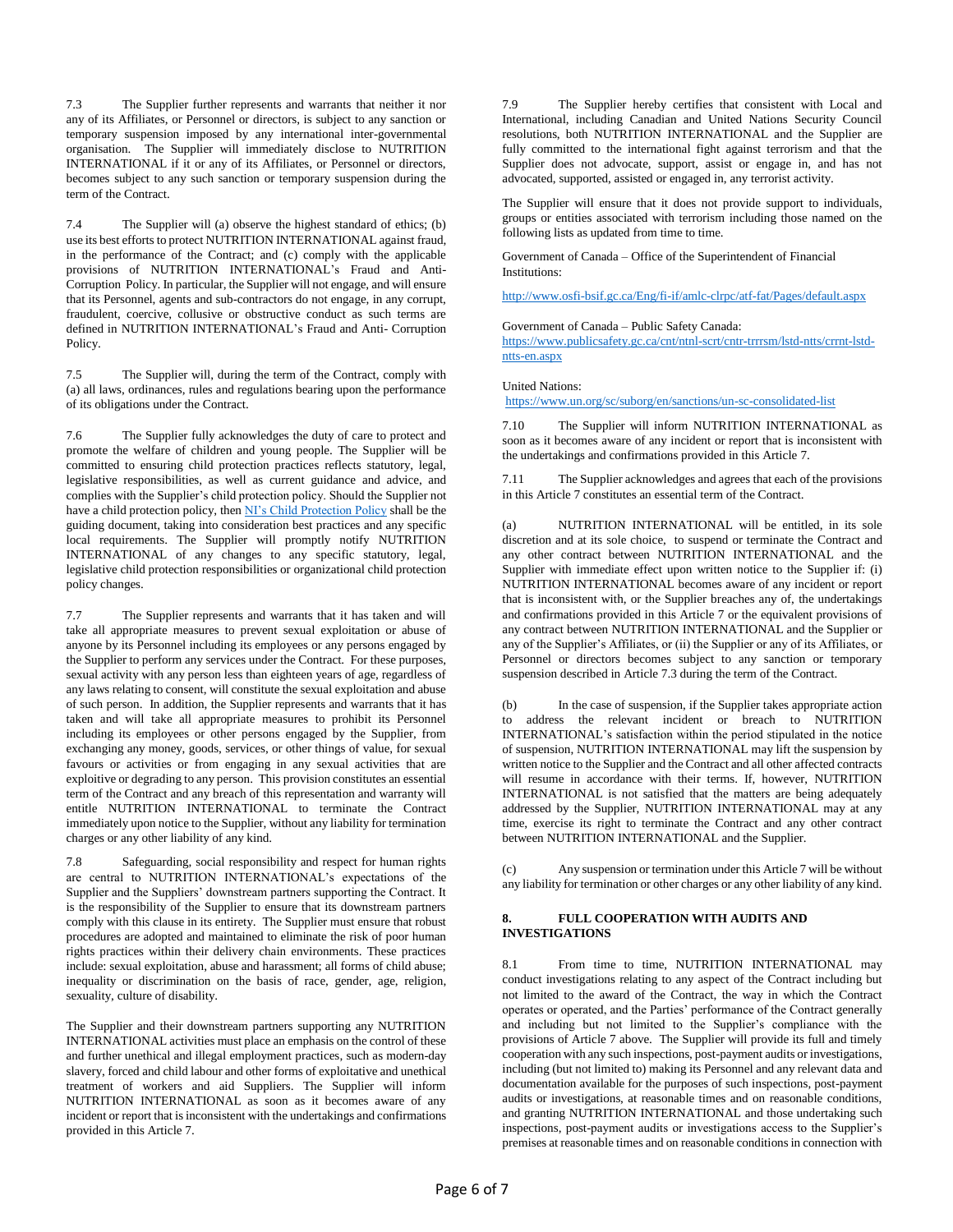7.3 The Supplier further represents and warrants that neither it nor any of its Affiliates, or Personnel or directors, is subject to any sanction or temporary suspension imposed by any international inter-governmental organisation. The Supplier will immediately disclose to NUTRITION INTERNATIONAL if it or any of its Affiliates, or Personnel or directors, becomes subject to any such sanction or temporary suspension during the term of the Contract.

7.4 The Supplier will (a) observe the highest standard of ethics; (b) use its best efforts to protect NUTRITION INTERNATIONAL against fraud, in the performance of the Contract; and (c) comply with the applicable provisions of NUTRITION INTERNATIONAL's Fraud and Anti-Corruption Policy. In particular, the Supplier will not engage, and will ensure that its Personnel, agents and sub-contractors do not engage, in any corrupt, fraudulent, coercive, collusive or obstructive conduct as such terms are defined in NUTRITION INTERNATIONAL's Fraud and Anti- Corruption Policy.

7.5 The Supplier will, during the term of the Contract, comply with (a) all laws, ordinances, rules and regulations bearing upon the performance of its obligations under the Contract.

7.6 The Supplier fully acknowledges the duty of care to protect and promote the welfare of children and young people. The Supplier will be committed to ensuring child protection practices reflects statutory, legal, legislative responsibilities, as well as current guidance and advice, and complies with the Supplier's child protection policy. Should the Supplier not have a child protection policy, the[n NI's Child Protection Policy](https://www.nutritionintl.org/child-protection-policy/) shall be the guiding document, taking into consideration best practices and any specific local requirements. The Supplier will promptly notify NUTRITION INTERNATIONAL of any changes to any specific statutory, legal, legislative child protection responsibilities or organizational child protection policy changes.

7.7 The Supplier represents and warrants that it has taken and will take all appropriate measures to prevent sexual exploitation or abuse of anyone by its Personnel including its employees or any persons engaged by the Supplier to perform any services under the Contract. For these purposes, sexual activity with any person less than eighteen years of age, regardless of any laws relating to consent, will constitute the sexual exploitation and abuse of such person. In addition, the Supplier represents and warrants that it has taken and will take all appropriate measures to prohibit its Personnel including its employees or other persons engaged by the Supplier, from exchanging any money, goods, services, or other things of value, for sexual favours or activities or from engaging in any sexual activities that are exploitive or degrading to any person. This provision constitutes an essential term of the Contract and any breach of this representation and warranty will entitle NUTRITION INTERNATIONAL to terminate the Contract immediately upon notice to the Supplier, without any liability for termination charges or any other liability of any kind.

7.8 Safeguarding, social responsibility and respect for human rights are central to NUTRITION INTERNATIONAL's expectations of the Supplier and the Suppliers' downstream partners supporting the Contract. It is the responsibility of the Supplier to ensure that its downstream partners comply with this clause in its entirety. The Supplier must ensure that robust procedures are adopted and maintained to eliminate the risk of poor human rights practices within their delivery chain environments. These practices include: sexual exploitation, abuse and harassment; all forms of child abuse; inequality or discrimination on the basis of race, gender, age, religion, sexuality, culture of disability.

The Supplier and their downstream partners supporting any NUTRITION INTERNATIONAL activities must place an emphasis on the control of these and further unethical and illegal employment practices, such as modern-day slavery, forced and child labour and other forms of exploitative and unethical treatment of workers and aid Suppliers. The Supplier will inform NUTRITION INTERNATIONAL as soon as it becomes aware of any incident or report that is inconsistent with the undertakings and confirmations provided in this Article 7.

7.9 The Supplier hereby certifies that consistent with Local and International, including Canadian and United Nations Security Council resolutions, both NUTRITION INTERNATIONAL and the Supplier are fully committed to the international fight against terrorism and that the Supplier does not advocate, support, assist or engage in, and has not advocated, supported, assisted or engaged in, any terrorist activity.

The Supplier will ensure that it does not provide support to individuals, groups or entities associated with terrorism including those named on the following lists as updated from time to time.

Government of Canada – Office of the Superintendent of Financial Institutions:

<http://www.osfi-bsif.gc.ca/Eng/fi-if/amlc-clrpc/atf-fat/Pages/default.aspx>

Government of Canada – Public Safety Canada:

[https://www.publicsafety.gc.ca/cnt/ntnl-scrt/cntr-trrrsm/lstd-ntts/crrnt-lstd](https://www.publicsafety.gc.ca/cnt/ntnl-scrt/cntr-trrrsm/lstd-ntts/crrnt-lstd-ntts-en.aspx)[ntts-en.aspx](https://www.publicsafety.gc.ca/cnt/ntnl-scrt/cntr-trrrsm/lstd-ntts/crrnt-lstd-ntts-en.aspx)

#### United Nations:

<https://www.un.org/sc/suborg/en/sanctions/un-sc-consolidated-list>

7.10 The Supplier will inform NUTRITION INTERNATIONAL as soon as it becomes aware of any incident or report that is inconsistent with the undertakings and confirmations provided in this Article 7.

7.11 The Supplier acknowledges and agrees that each of the provisions in this Article 7 constitutes an essential term of the Contract.

(a) NUTRITION INTERNATIONAL will be entitled, in its sole discretion and at its sole choice, to suspend or terminate the Contract and any other contract between NUTRITION INTERNATIONAL and the Supplier with immediate effect upon written notice to the Supplier if: (i) NUTRITION INTERNATIONAL becomes aware of any incident or report that is inconsistent with, or the Supplier breaches any of, the undertakings and confirmations provided in this Article 7 or the equivalent provisions of any contract between NUTRITION INTERNATIONAL and the Supplier or any of the Supplier's Affiliates, or (ii) the Supplier or any of its Affiliates, or Personnel or directors becomes subject to any sanction or temporary suspension described in Article 7.3 during the term of the Contract.

In the case of suspension, if the Supplier takes appropriate action to address the relevant incident or breach to NUTRITION INTERNATIONAL's satisfaction within the period stipulated in the notice of suspension, NUTRITION INTERNATIONAL may lift the suspension by written notice to the Supplier and the Contract and all other affected contracts will resume in accordance with their terms. If, however, NUTRITION INTERNATIONAL is not satisfied that the matters are being adequately addressed by the Supplier, NUTRITION INTERNATIONAL may at any time, exercise its right to terminate the Contract and any other contract between NUTRITION INTERNATIONAL and the Supplier.

(c) Any suspension or termination under this Article 7 will be without any liability for termination or other charges or any other liability of any kind.

# **8. FULL COOPERATION WITH AUDITS AND INVESTIGATIONS**

8.1 From time to time, NUTRITION INTERNATIONAL may conduct investigations relating to any aspect of the Contract including but not limited to the award of the Contract, the way in which the Contract operates or operated, and the Parties' performance of the Contract generally and including but not limited to the Supplier's compliance with the provisions of Article 7 above. The Supplier will provide its full and timely cooperation with any such inspections, post-payment audits or investigations, including (but not limited to) making its Personnel and any relevant data and documentation available for the purposes of such inspections, post-payment audits or investigations, at reasonable times and on reasonable conditions, and granting NUTRITION INTERNATIONAL and those undertaking such inspections, post-payment audits or investigations access to the Supplier's premises at reasonable times and on reasonable conditions in connection with